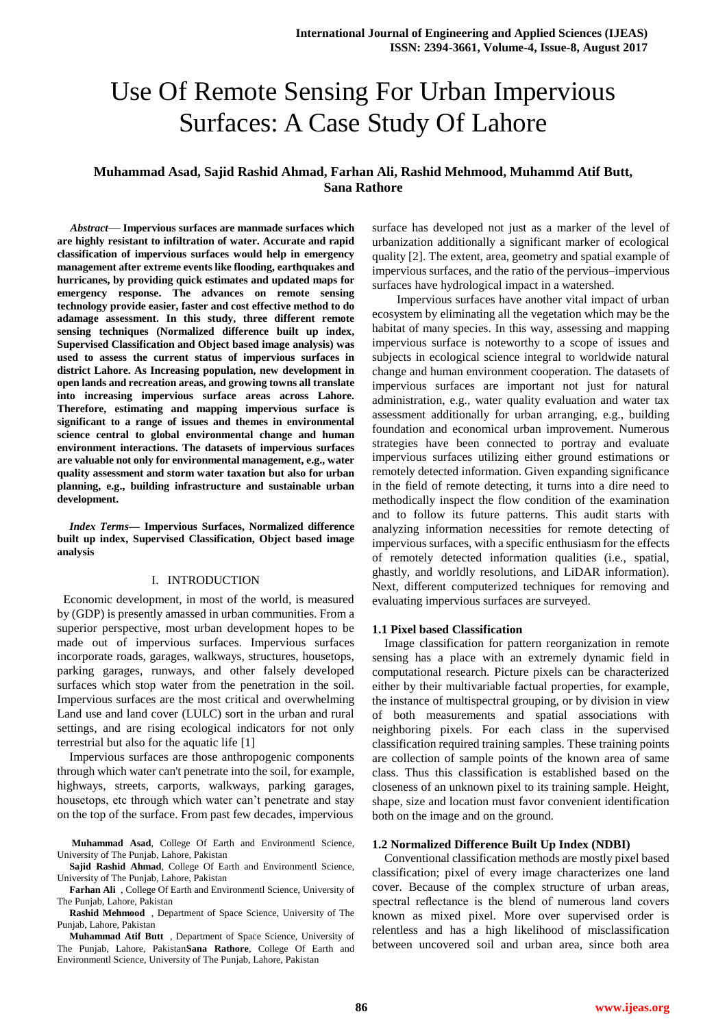# Use Of Remote Sensing For Urban Impervious Surfaces: A Case Study Of Lahore

## **Muhammad Asad, Sajid Rashid Ahmad, Farhan Ali, Rashid Mehmood, Muhammd Atif Butt, Sana Rathore**

*Abstract*— **Impervious surfaces are manmade surfaces which are highly resistant to infiltration of water. Accurate and rapid classification of impervious surfaces would help in emergency management after extreme events like flooding, earthquakes and hurricanes, by providing quick estimates and updated maps for emergency response. The advances on remote sensing technology provide easier, faster and cost effective method to do adamage assessment. In this study, three different remote sensing techniques (Normalized difference built up index, Supervised Classification and Object based image analysis) was used to assess the current status of impervious surfaces in district Lahore. As Increasing population, new development in open lands and recreation areas, and growing towns all translate into increasing impervious surface areas across Lahore. Therefore, estimating and mapping impervious surface is significant to a range of issues and themes in environmental science central to global environmental change and human environment interactions. The datasets of impervious surfaces are valuable not only for environmental management, e.g., water quality assessment and storm water taxation but also for urban planning, e.g., building infrastructure and sustainable urban development.**

*Index Terms***— Impervious Surfaces, Normalized difference built up index, Supervised Classification, Object based image analysis**

## I. INTRODUCTION

 Economic development, in most of the world, is measured by (GDP) is presently amassed in urban communities. From a superior perspective, most urban development hopes to be made out of impervious surfaces. Impervious surfaces incorporate roads, garages, walkways, structures, housetops, parking garages, runways, and other falsely developed surfaces which stop water from the penetration in the soil. Impervious surfaces are the most critical and overwhelming Land use and land cover (LULC) sort in the urban and rural settings, and are rising ecological indicators for not only terrestrial but also for the aquatic life [1]

Impervious surfaces are those anthropogenic components through which water can't penetrate into the soil, for example, highways, streets, carports, walkways, parking garages, housetops, etc through which water can't penetrate and stay on the top of the surface. From past few decades, impervious

**Muhammad Asad**, College Of Earth and Environmentl Science, University of The Punjab, Lahore, Pakistan

**Sajid Rashid Ahmad**, College Of Earth and Environmentl Science, University of The Punjab, Lahore, Pakistan

**Farhan Ali** , College Of Earth and Environmentl Science, University of The Punjab, Lahore, Pakistan

**Rashid Mehmood** , Department of Space Science, University of The Punjab, Lahore, Pakistan

**Muhammad Atif Butt** , Department of Space Science, University of The Punjab, Lahore, Pakistan**Sana Rathore**, College Of Earth and Environmentl Science, University of The Punjab, Lahore, Pakistan

surface has developed not just as a marker of the level of urbanization additionally a significant marker of ecological quality [2]. The extent, area, geometry and spatial example of impervious surfaces, and the ratio of the pervious–impervious surfaces have hydrological impact in a watershed.

Impervious surfaces have another vital impact of urban ecosystem by eliminating all the vegetation which may be the habitat of many species. In this way, assessing and mapping impervious surface is noteworthy to a scope of issues and subjects in ecological science integral to worldwide natural change and human environment cooperation. The datasets of impervious surfaces are important not just for natural administration, e.g., water quality evaluation and water tax assessment additionally for urban arranging, e.g., building foundation and economical urban improvement. Numerous strategies have been connected to portray and evaluate impervious surfaces utilizing either ground estimations or remotely detected information. Given expanding significance in the field of remote detecting, it turns into a dire need to methodically inspect the flow condition of the examination and to follow its future patterns. This audit starts with analyzing information necessities for remote detecting of impervious surfaces, with a specific enthusiasm for the effects of remotely detected information qualities (i.e., spatial, ghastly, and worldly resolutions, and LiDAR information). Next, different computerized techniques for removing and evaluating impervious surfaces are surveyed.

## **1.1 Pixel based Classification**

Image classification for pattern reorganization in remote sensing has a place with an extremely dynamic field in computational research. Picture pixels can be characterized either by their multivariable factual properties, for example, the instance of multispectral grouping, or by division in view of both measurements and spatial associations with neighboring pixels. For each class in the supervised classification required training samples. These training points are collection of sample points of the known area of same class. Thus this classification is established based on the closeness of an unknown pixel to its training sample. Height, shape, size and location must favor convenient identification both on the image and on the ground.

## **1.2 Normalized Difference Built Up Index (NDBI)**

Conventional classification methods are mostly pixel based classification; pixel of every image characterizes one land cover. Because of the complex structure of urban areas, spectral reflectance is the blend of numerous land covers known as mixed pixel. More over supervised order is relentless and has a high likelihood of misclassification between uncovered soil and urban area, since both area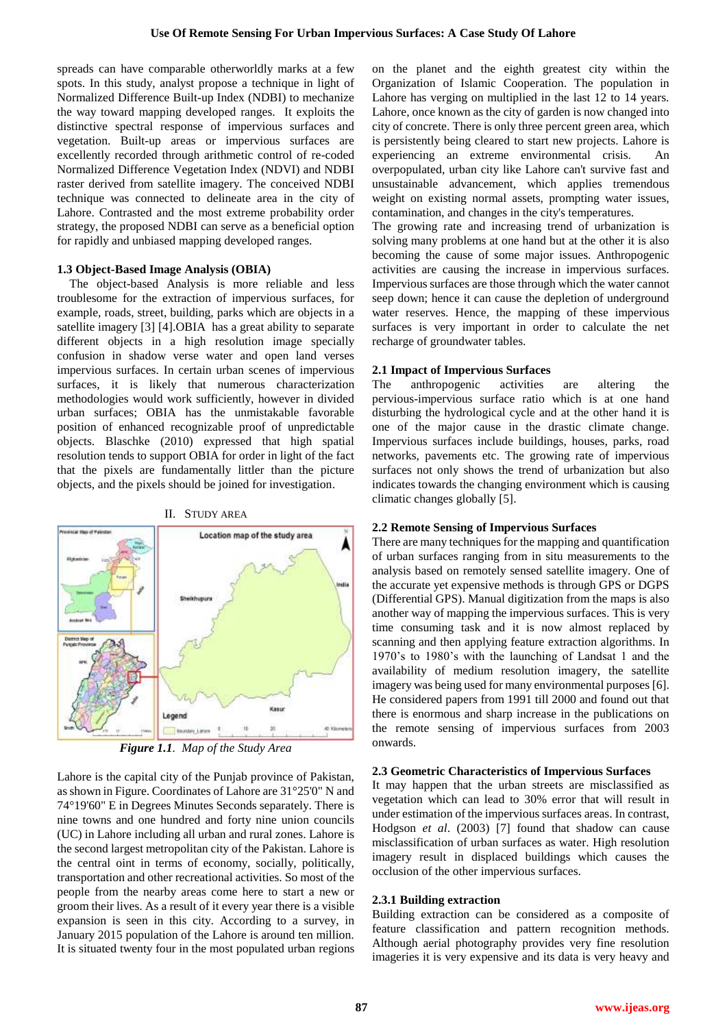spreads can have comparable otherworldly marks at a few spots. In this study, analyst propose a technique in light of Normalized Difference Built-up Index (NDBI) to mechanize the way toward mapping developed ranges. It exploits the distinctive spectral response of impervious surfaces and vegetation. Built-up areas or impervious surfaces are excellently recorded through arithmetic control of re-coded Normalized Difference Vegetation Index (NDVI) and NDBI raster derived from satellite imagery. The conceived NDBI technique was connected to delineate area in the city of Lahore. Contrasted and the most extreme probability order strategy, the proposed NDBI can serve as a beneficial option for rapidly and unbiased mapping developed ranges.

#### **1.3 Object-Based Image Analysis (OBIA)**

The object-based Analysis is more reliable and less troublesome for the extraction of impervious surfaces, for example, roads, street, building, parks which are objects in a satellite imagery [3] [4].OBIA has a great ability to separate different objects in a high resolution image specially confusion in shadow verse water and open land verses impervious surfaces. In certain urban scenes of impervious surfaces, it is likely that numerous characterization methodologies would work sufficiently, however in divided urban surfaces; OBIA has the unmistakable favorable position of enhanced recognizable proof of unpredictable objects. Blaschke (2010) expressed that high spatial resolution tends to support OBIA for order in light of the fact that the pixels are fundamentally littler than the picture objects, and the pixels should be joined for investigation.



II. STUDY AREA

*Figure 1.1. Map of the Study Area*

Lahore is the capital city of the Punjab province of Pakistan, as shown in Figure. Coordinates of Lahore are 31°25'0" N and 74°19'60" E in Degrees Minutes Seconds separately. There is nine towns and one hundred and forty nine union councils (UC) in Lahore including all urban and rural zones. Lahore is the second largest metropolitan city of the Pakistan. Lahore is the central oint in terms of economy, socially, politically, transportation and other recreational activities. So most of the people from the nearby areas come here to start a new or groom their lives. As a result of it every year there is a visible expansion is seen in this city. According to a survey, in January 2015 population of the Lahore is around ten million. It is situated twenty four in the most populated urban regions on the planet and the eighth greatest city within the Organization of Islamic Cooperation. The population in Lahore has verging on multiplied in the last 12 to 14 years. Lahore, once known as the city of garden is now changed into city of concrete. There is only three percent green area, which is persistently being cleared to start new projects. Lahore is experiencing an extreme environmental crisis. An overpopulated, urban city like Lahore can't survive fast and unsustainable advancement, which applies tremendous weight on existing normal assets, prompting water issues, contamination, and changes in the city's temperatures.

The growing rate and increasing trend of urbanization is solving many problems at one hand but at the other it is also becoming the cause of some major issues. Anthropogenic activities are causing the increase in impervious surfaces. Impervious surfaces are those through which the water cannot seep down; hence it can cause the depletion of underground water reserves. Hence, the mapping of these impervious surfaces is very important in order to calculate the net recharge of groundwater tables.

#### **2.1 Impact of Impervious Surfaces**

The anthropogenic activities are altering the pervious-impervious surface ratio which is at one hand disturbing the hydrological cycle and at the other hand it is one of the major cause in the drastic climate change. Impervious surfaces include buildings, houses, parks, road networks, pavements etc. The growing rate of impervious surfaces not only shows the trend of urbanization but also indicates towards the changing environment which is causing climatic changes globally [5].

## **2.2 Remote Sensing of Impervious Surfaces**

There are many techniques for the mapping and quantification of urban surfaces ranging from in situ measurements to the analysis based on remotely sensed satellite imagery. One of the accurate yet expensive methods is through GPS or DGPS (Differential GPS). Manual digitization from the maps is also another way of mapping the impervious surfaces. This is very time consuming task and it is now almost replaced by scanning and then applying feature extraction algorithms. In 1970's to 1980's with the launching of Landsat 1 and the availability of medium resolution imagery, the satellite imagery was being used for many environmental purposes [6]. He considered papers from 1991 till 2000 and found out that there is enormous and sharp increase in the publications on the remote sensing of impervious surfaces from 2003 onwards.

#### **2.3 Geometric Characteristics of Impervious Surfaces**

It may happen that the urban streets are misclassified as vegetation which can lead to 30% error that will result in under estimation of the impervious surfaces areas. In contrast, Hodgson *et al*. (2003) [7] found that shadow can cause misclassification of urban surfaces as water. High resolution imagery result in displaced buildings which causes the occlusion of the other impervious surfaces.

## **2.3.1 Building extraction**

Building extraction can be considered as a composite of feature classification and pattern recognition methods. Although aerial photography provides very fine resolution imageries it is very expensive and its data is very heavy and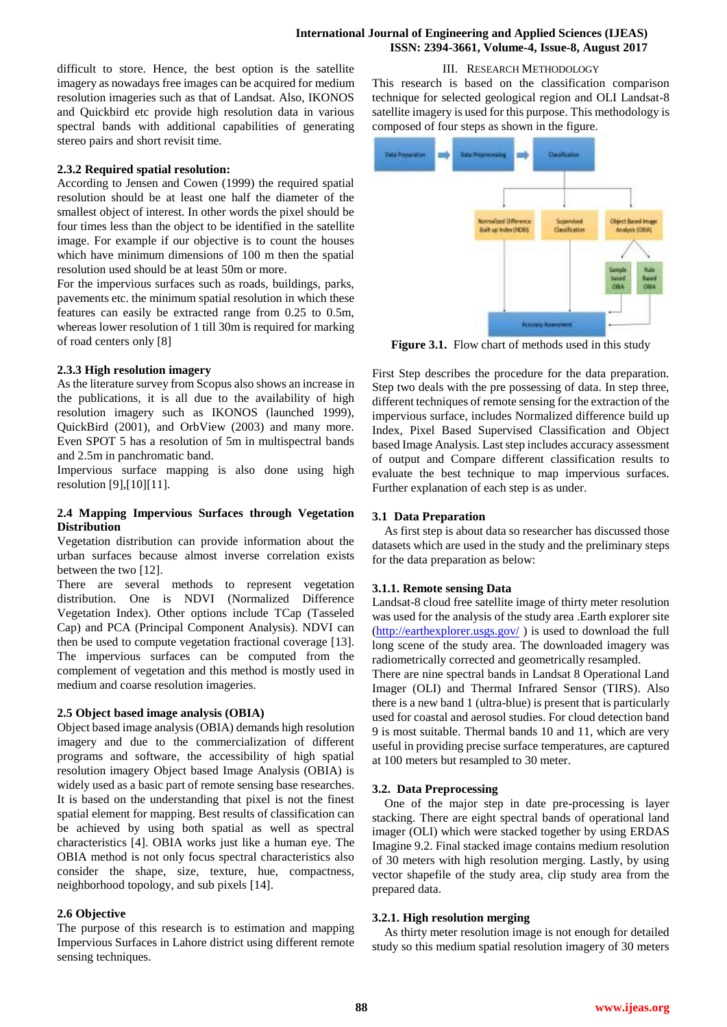## **International Journal of Engineering and Applied Sciences (IJEAS) ISSN: 2394-3661, Volume-4, Issue-8, August 2017**

III. RESEARCH METHODOLOGY

difficult to store. Hence, the best option is the satellite imagery as nowadays free images can be acquired for medium resolution imageries such as that of Landsat. Also, IKONOS and Quickbird etc provide high resolution data in various spectral bands with additional capabilities of generating stereo pairs and short revisit time.

## **2.3.2 Required spatial resolution:**

According to Jensen and Cowen (1999) the required spatial resolution should be at least one half the diameter of the smallest object of interest. In other words the pixel should be four times less than the object to be identified in the satellite image. For example if our objective is to count the houses which have minimum dimensions of 100 m then the spatial resolution used should be at least 50m or more.

For the impervious surfaces such as roads, buildings, parks, pavements etc. the minimum spatial resolution in which these features can easily be extracted range from 0.25 to 0.5m, whereas lower resolution of 1 till 30m is required for marking of road centers only [8]

## **2.3.3 High resolution imagery**

As the literature survey from Scopus also shows an increase in the publications, it is all due to the availability of high resolution imagery such as IKONOS (launched 1999), QuickBird (2001), and OrbView (2003) and many more. Even SPOT 5 has a resolution of 5m in multispectral bands and 2.5m in panchromatic band.

Impervious surface mapping is also done using high resolution [9],[10][11].

## **2.4 Mapping Impervious Surfaces through Vegetation Distribution**

Vegetation distribution can provide information about the urban surfaces because almost inverse correlation exists between the two [12].

There are several methods to represent vegetation distribution. One is NDVI (Normalized Difference Vegetation Index). Other options include TCap (Tasseled Cap) and PCA (Principal Component Analysis). NDVI can then be used to compute vegetation fractional coverage [13]. The impervious surfaces can be computed from the complement of vegetation and this method is mostly used in medium and coarse resolution imageries.

## **2.5 Object based image analysis (OBIA)**

Object based image analysis (OBIA) demands high resolution imagery and due to the commercialization of different programs and software, the accessibility of high spatial resolution imagery Object based Image Analysis (OBIA) is widely used as a basic part of remote sensing base researches. It is based on the understanding that pixel is not the finest spatial element for mapping. Best results of classification can be achieved by using both spatial as well as spectral characteristics [4]. OBIA works just like a human eye. The OBIA method is not only focus spectral characteristics also consider the shape, size, texture, hue, compactness, neighborhood topology, and sub pixels [14].

## **2.6 Objective**

The purpose of this research is to estimation and mapping Impervious Surfaces in Lahore district using different remote sensing techniques.

This research is based on the classification comparison technique for selected geological region and OLI Landsat-8 satellite imagery is used for this purpose. This methodology is composed of four steps as shown in the figure.



Figure 3.1. Flow chart of methods used in this study

First Step describes the procedure for the data preparation. Step two deals with the pre possessing of data. In step three, different techniques of remote sensing for the extraction of the impervious surface, includes Normalized difference build up Index, Pixel Based Supervised Classification and Object based Image Analysis. Last step includes accuracy assessment of output and Compare different classification results to evaluate the best technique to map impervious surfaces. Further explanation of each step is as under.

#### **3.1 Data Preparation**

As first step is about data so researcher has discussed those datasets which are used in the study and the preliminary steps for the data preparation as below:

#### **3.1.1. Remote sensing Data**

Landsat-8 cloud free satellite image of thirty meter resolution was used for the analysis of the study area .Earth explorer site [\(http://earthexplorer.usgs.gov/](http://earthexplorer.usgs.gov/) ) is used to download the full long scene of the study area. The downloaded imagery was radiometrically corrected and geometrically resampled.

There are nine spectral bands in Landsat 8 Operational Land Imager (OLI) and Thermal Infrared Sensor (TIRS). Also there is a new band 1 (ultra-blue) is present that is particularly used for coastal and aerosol studies. For cloud detection band 9 is most suitable. Thermal bands 10 and 11, which are very useful in providing precise surface temperatures, are captured at 100 meters but resampled to 30 meter.

## **3.2. Data Preprocessing**

One of the major step in date pre-processing is layer stacking. There are eight spectral bands of operational land imager (OLI) which were stacked together by using ERDAS Imagine 9.2. Final stacked image contains medium resolution of 30 meters with high resolution merging. Lastly, by using vector shapefile of the study area, clip study area from the prepared data.

#### **3.2.1. High resolution merging**

As thirty meter resolution image is not enough for detailed study so this medium spatial resolution imagery of 30 meters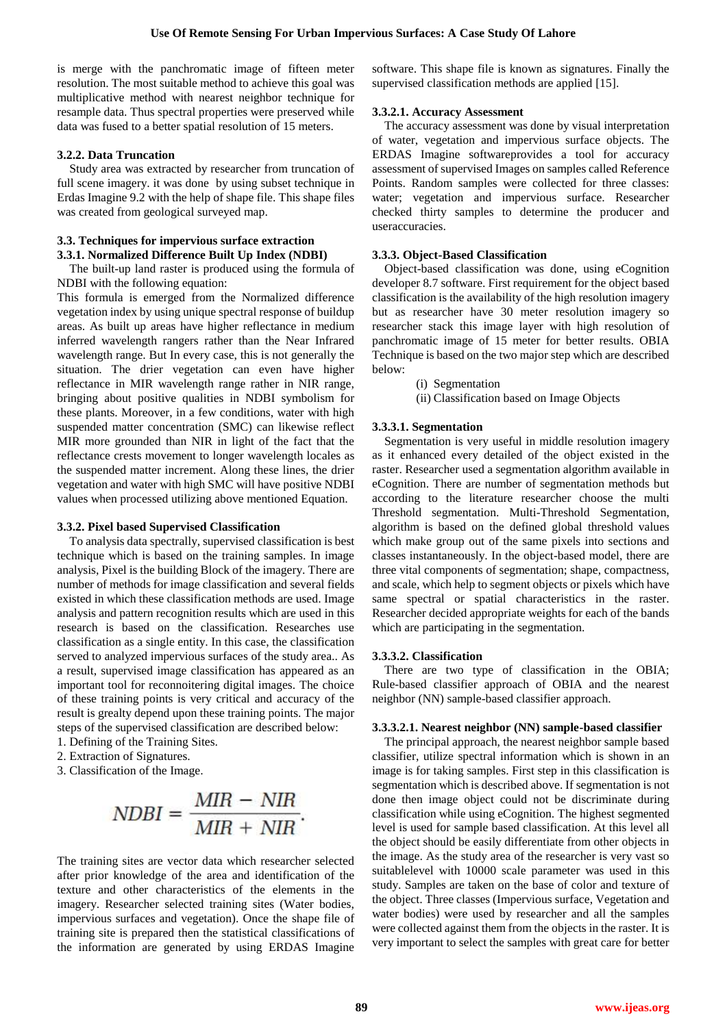is merge with the panchromatic image of fifteen meter resolution. The most suitable method to achieve this goal was multiplicative method with nearest neighbor technique for resample data. Thus spectral properties were preserved while data was fused to a better spatial resolution of 15 meters.

## **3.2.2. Data Truncation**

Study area was extracted by researcher from truncation of full scene imagery. it was done by using subset technique in Erdas Imagine 9.2 with the help of shape file. This shape files was created from geological surveyed map.

## **3.3. Techniques for impervious surface extraction 3.3.1. Normalized Difference Built Up Index (NDBI)**

The built-up land raster is produced using the formula of NDBI with the following equation:

This formula is emerged from the Normalized difference vegetation index by using unique spectral response of buildup areas. As built up areas have higher reflectance in medium inferred wavelength rangers rather than the Near Infrared wavelength range. But In every case, this is not generally the situation. The drier vegetation can even have higher reflectance in MIR wavelength range rather in NIR range, bringing about positive qualities in NDBI symbolism for these plants. Moreover, in a few conditions, water with high suspended matter concentration (SMC) can likewise reflect MIR more grounded than NIR in light of the fact that the reflectance crests movement to longer wavelength locales as the suspended matter increment. Along these lines, the drier vegetation and water with high SMC will have positive NDBI values when processed utilizing above mentioned Equation.

## **3.3.2. Pixel based Supervised Classification**

To analysis data spectrally, supervised classification is best technique which is based on the training samples. In image analysis, Pixel is the building Block of the imagery. There are number of methods for image classification and several fields existed in which these classification methods are used. Image analysis and pattern recognition results which are used in this research is based on the classification. Researches use classification as a single entity. In this case, the classification served to analyzed impervious surfaces of the study area.. As a result, supervised image classification has appeared as an important tool for reconnoitering digital images. The choice of these training points is very critical and accuracy of the result is grealty depend upon these training points. The major steps of the supervised classification are described below:

1. Defining of the Training Sites.

- 2. Extraction of Signatures.
- 3. Classification of the Image.

$$
NDBI = \frac{MIR - NIR}{MIR + NIR}.
$$

The training sites are vector data which researcher selected after prior knowledge of the area and identification of the texture and other characteristics of the elements in the imagery. Researcher selected training sites (Water bodies, impervious surfaces and vegetation). Once the shape file of training site is prepared then the statistical classifications of the information are generated by using ERDAS Imagine software. This shape file is known as signatures. Finally the supervised classification methods are applied [15].

## **3.3.2.1. Accuracy Assessment**

The accuracy assessment was done by visual interpretation of water, vegetation and impervious surface objects. The ERDAS Imagine softwareprovides a tool for accuracy assessment of supervised Images on samples called Reference Points. Random samples were collected for three classes: water; vegetation and impervious surface. Researcher checked thirty samples to determine the producer and useraccuracies.

## **3.3.3. Object-Based Classification**

Object-based classification was done, using eCognition developer 8.7 software. First requirement for the object based classification is the availability of the high resolution imagery but as researcher have 30 meter resolution imagery so researcher stack this image layer with high resolution of panchromatic image of 15 meter for better results. OBIA Technique is based on the two major step which are described below:

(i) Segmentation

(ii) Classification based on Image Objects

## **3.3.3.1. Segmentation**

Segmentation is very useful in middle resolution imagery as it enhanced every detailed of the object existed in the raster. Researcher used a segmentation algorithm available in eCognition. There are number of segmentation methods but according to the literature researcher choose the multi Threshold segmentation. Multi-Threshold Segmentation, algorithm is based on the defined global threshold values which make group out of the same pixels into sections and classes instantaneously. In the object-based model, there are three vital components of segmentation; shape, compactness, and scale, which help to segment objects or pixels which have same spectral or spatial characteristics in the raster. Researcher decided appropriate weights for each of the bands which are participating in the segmentation.

## **3.3.3.2. Classification**

There are two type of classification in the OBIA; Rule-based classifier approach of OBIA and the nearest neighbor (NN) sample-based classifier approach.

## **3.3.3.2.1. Nearest neighbor (NN) sample-based classifier**

The principal approach, the nearest neighbor sample based classifier, utilize spectral information which is shown in an image is for taking samples. First step in this classification is segmentation which is described above. If segmentation is not done then image object could not be discriminate during classification while using eCognition. The highest segmented level is used for sample based classification. At this level all the object should be easily differentiate from other objects in the image. As the study area of the researcher is very vast so suitablelevel with 10000 scale parameter was used in this study. Samples are taken on the base of color and texture of the object. Three classes (Impervious surface, Vegetation and water bodies) were used by researcher and all the samples were collected against them from the objects in the raster. It is very important to select the samples with great care for better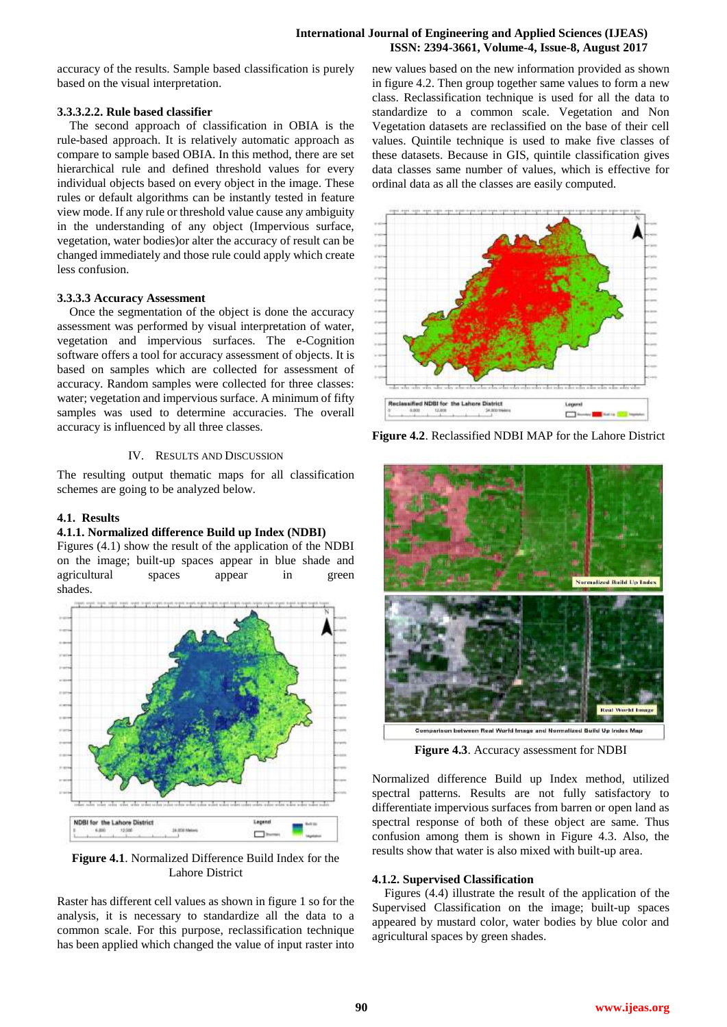## **International Journal of Engineering and Applied Sciences (IJEAS) ISSN: 2394-3661, Volume-4, Issue-8, August 2017**

accuracy of the results. Sample based classification is purely based on the visual interpretation.

#### **3.3.3.2.2. Rule based classifier**

The second approach of classification in OBIA is the rule-based approach. It is relatively automatic approach as compare to sample based OBIA. In this method, there are set hierarchical rule and defined threshold values for every individual objects based on every object in the image. These rules or default algorithms can be instantly tested in feature view mode. If any rule or threshold value cause any ambiguity in the understanding of any object (Impervious surface, vegetation, water bodies)or alter the accuracy of result can be changed immediately and those rule could apply which create less confusion.

## **3.3.3.3 Accuracy Assessment**

Once the segmentation of the object is done the accuracy assessment was performed by visual interpretation of water, vegetation and impervious surfaces. The e-Cognition software offers a tool for accuracy assessment of objects. It is based on samples which are collected for assessment of accuracy. Random samples were collected for three classes: water; vegetation and impervious surface. A minimum of fifty samples was used to determine accuracies. The overall accuracy is influenced by all three classes.

## IV. RESULTS AND DISCUSSION

The resulting output thematic maps for all classification schemes are going to be analyzed below.

#### **4.1. Results**

#### **4.1.1. Normalized difference Build up Index (NDBI)**

Figures (4.1) show the result of the application of the NDBI on the image; built-up spaces appear in blue shade and agricultural spaces appear in green shades.



**Figure 4.1**. Normalized Difference Build Index for the Lahore District

Raster has different cell values as shown in figure 1 so for the analysis, it is necessary to standardize all the data to a common scale. For this purpose, reclassification technique has been applied which changed the value of input raster into new values based on the new information provided as shown in figure 4.2. Then group together same values to form a new class. Reclassification technique is used for all the data to standardize to a common scale. Vegetation and Non Vegetation datasets are reclassified on the base of their cell values. Quintile technique is used to make five classes of these datasets. Because in GIS, quintile classification gives data classes same number of values, which is effective for ordinal data as all the classes are easily computed.



**Figure 4.2**. Reclassified NDBI MAP for the Lahore District



**Figure 4.3**. Accuracy assessment for NDBI

Normalized difference Build up Index method, utilized spectral patterns. Results are not fully satisfactory to differentiate impervious surfaces from barren or open land as spectral response of both of these object are same. Thus confusion among them is shown in Figure 4.3. Also, the results show that water is also mixed with built-up area.

## **4.1.2. Supervised Classification**

Figures (4.4) illustrate the result of the application of the Supervised Classification on the image; built-up spaces appeared by mustard color, water bodies by blue color and agricultural spaces by green shades.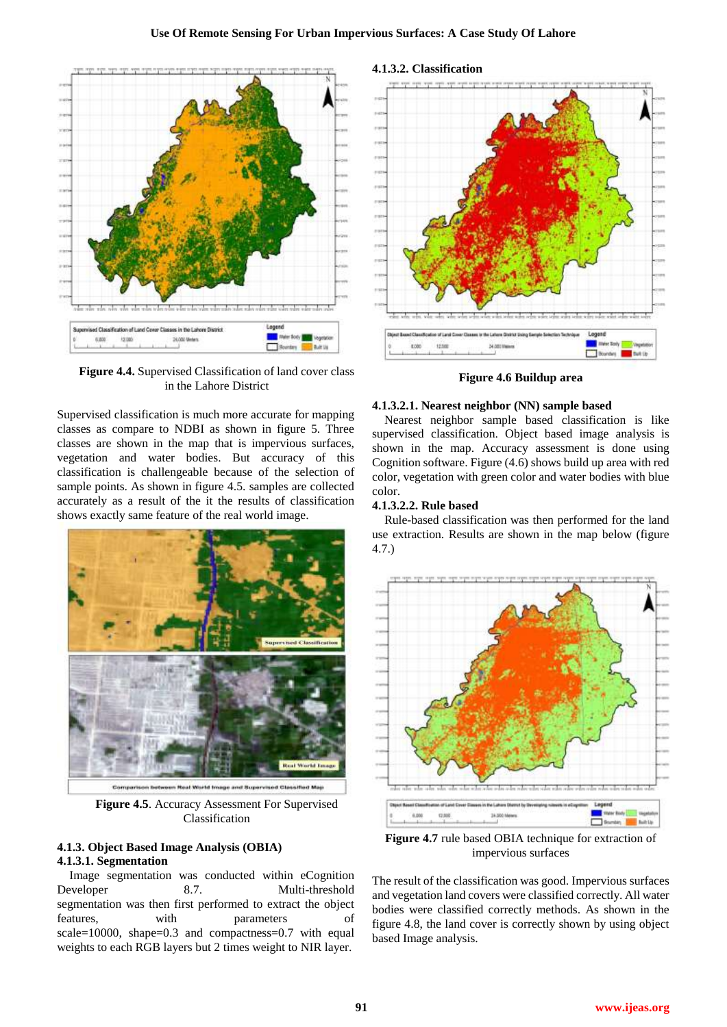

**Figure 4.4.** Supervised Classification of land cover class in the Lahore District

Supervised classification is much more accurate for mapping classes as compare to NDBI as shown in figure 5. Three classes are shown in the map that is impervious surfaces, vegetation and water bodies. But accuracy of this classification is challengeable because of the selection of sample points. As shown in figure 4.5. samples are collected accurately as a result of the it the results of classification shows exactly same feature of the real world image.



**Figure 4.5**. Accuracy Assessment For Supervised Classification

## **4.1.3. Object Based Image Analysis (OBIA) 4.1.3.1. Segmentation**

Image segmentation was conducted within eCognition Developer 8.7. Multi-threshold segmentation was then first performed to extract the object features, with parameters of scale=10000, shape=0.3 and compactness=0.7 with equal weights to each RGB layers but 2 times weight to NIR layer.



**Figure 4.6 Buildup area**

#### **4.1.3.2.1. Nearest neighbor (NN) sample based**

Nearest neighbor sample based classification is like supervised classification. Object based image analysis is shown in the map. Accuracy assessment is done using Cognition software. Figure (4.6) shows build up area with red color, vegetation with green color and water bodies with blue color.

#### **4.1.3.2.2. Rule based**

Rule-based classification was then performed for the land use extraction. Results are shown in the map below (figure 4.7.)



**Figure 4.7** rule based OBIA technique for extraction of impervious surfaces

The result of the classification was good. Impervious surfaces and vegetation land covers were classified correctly. All water bodies were classified correctly methods. As shown in the figure 4.8, the land cover is correctly shown by using object based Image analysis.